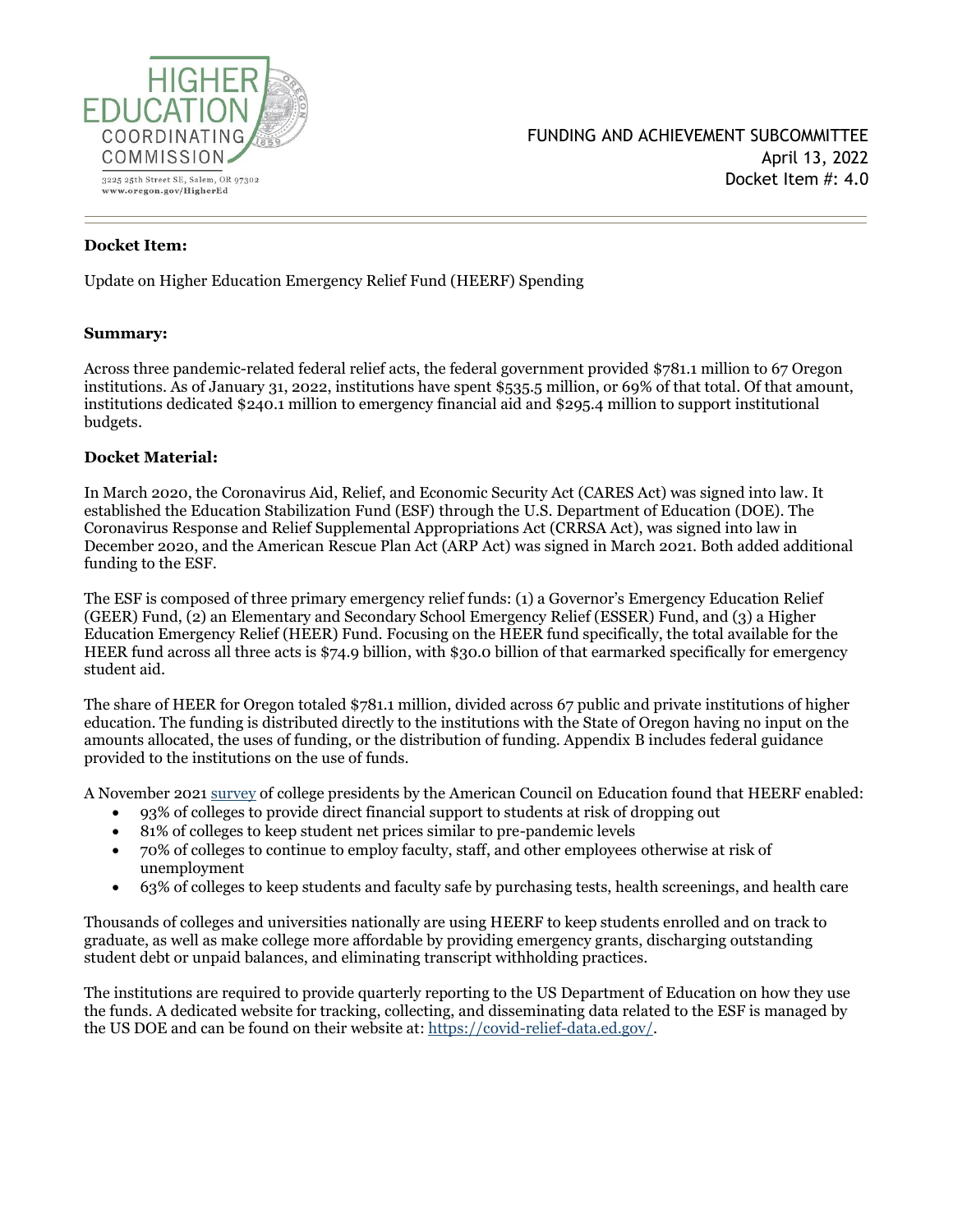

### **Docket Item:**

Update on Higher Education Emergency Relief Fund (HEERF) Spending

### **Summary:**

Across three pandemic-related federal relief acts, the federal government provided \$781.1 million to 67 Oregon institutions. As of January 31, 2022, institutions have spent \$535.5 million, or 69% of that total. Of that amount, institutions dedicated \$240.1 million to emergency financial aid and \$295.4 million to support institutional budgets.

### **Docket Material:**

In March 2020, the Coronavirus Aid, Relief, and Economic Security Act (CARES Act) was signed into law. It established the Education Stabilization Fund (ESF) through the U.S. Department of Education (DOE). The Coronavirus Response and Relief Supplemental Appropriations Act (CRRSA Act), was signed into law in December 2020, and the American Rescue Plan Act (ARP Act) was signed in March 2021. Both added additional funding to the ESF.

The ESF is composed of three primary emergency relief funds: (1) a Governor's Emergency Education Relief (GEER) Fund, (2) an Elementary and Secondary School Emergency Relief (ESSER) Fund, and (3) a Higher Education Emergency Relief (HEER) Fund. Focusing on the HEER fund specifically, the total available for the HEER fund across all three acts is \$74.9 billion, with \$30.0 billion of that earmarked specifically for emergency student aid.

The share of HEER for Oregon totaled \$781.1 million, divided across 67 public and private institutions of higher education. The funding is distributed directly to the institutions with the State of Oregon having no input on the amounts allocated, the uses of funding, or the distribution of funding. Appendix B includes federal guidance provided to the institutions on the use of funds.

A November 2021 [survey](https://www.acenet.edu/Research-Insights/Pages/Senior-Leaders/Presidents-Survey-HEERF.aspx) of college presidents by the American Council on Education found that HEERF enabled:

- 93% of colleges to provide direct financial support to students at risk of dropping out
- 81% of colleges to keep student net prices similar to pre-pandemic levels
- 70% of colleges to continue to employ faculty, staff, and other employees otherwise at risk of unemployment
- 63% of colleges to keep students and faculty safe by purchasing tests, health screenings, and health care

Thousands of colleges and universities nationally are using HEERF to keep students enrolled and on track to graduate, as well as make college more affordable by providing emergency grants, discharging outstanding student debt or unpaid balances, and eliminating transcript withholding practices.

The institutions are required to provide quarterly reporting to the US Department of Education on how they use the funds. A dedicated website for tracking, collecting, and disseminating data related to the ESF is managed by the US DOE and can be found on their website at: [https://covid-relief-data.ed.gov/.](https://covid-relief-data.ed.gov/)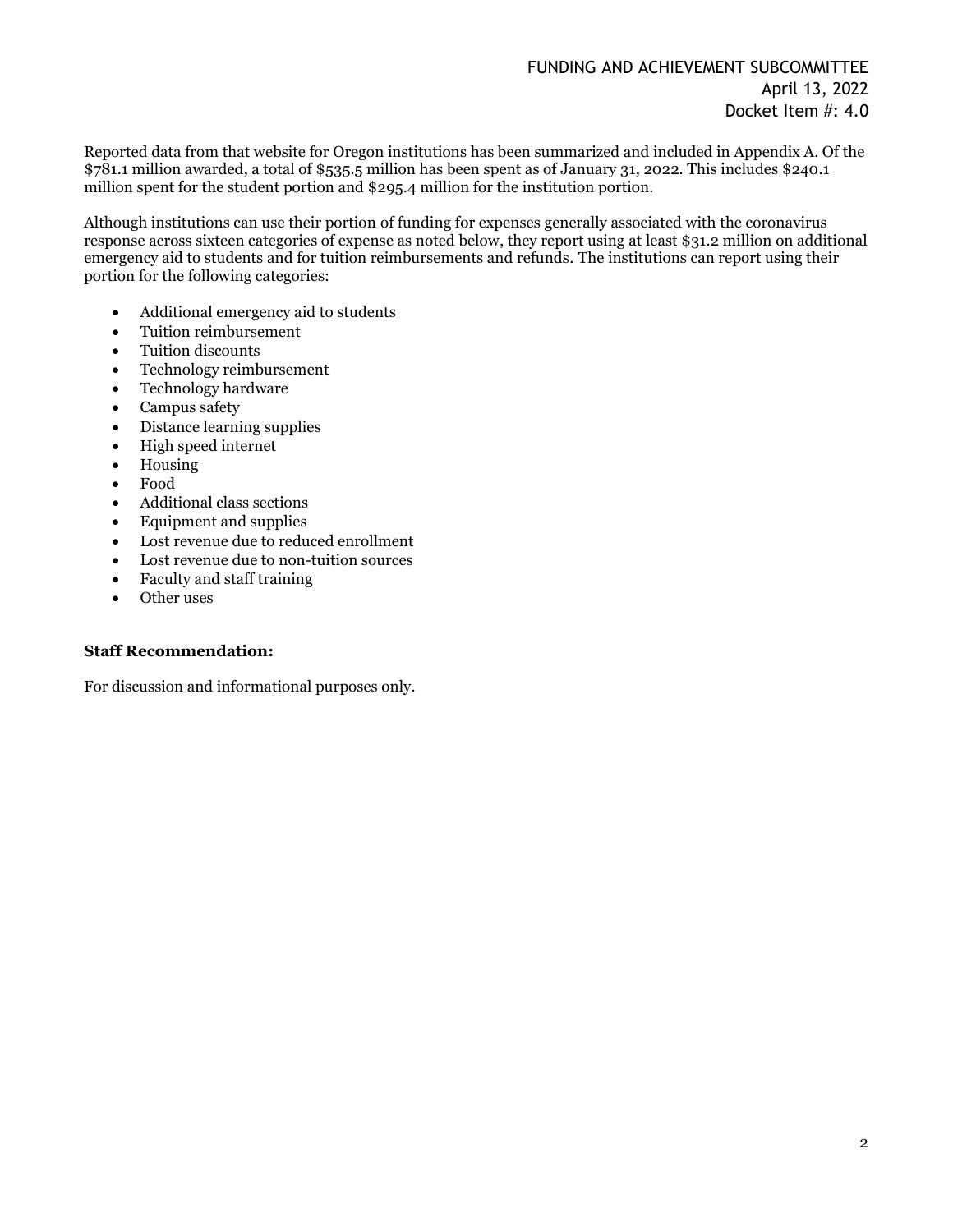Reported data from that website for Oregon institutions has been summarized and included in Appendix A. Of the \$781.1 million awarded, a total of \$535.5 million has been spent as of January 31, 2022. This includes \$240.1 million spent for the student portion and \$295.4 million for the institution portion.

Although institutions can use their portion of funding for expenses generally associated with the coronavirus response across sixteen categories of expense as noted below, they report using at least \$31.2 million on additional emergency aid to students and for tuition reimbursements and refunds. The institutions can report using their portion for the following categories:

- Additional emergency aid to students
- Tuition reimbursement
- Tuition discounts
- Technology reimbursement
- Technology hardware
- Campus safety
- Distance learning supplies
- High speed internet
- Housing
- Food
- Additional class sections
- Equipment and supplies
- Lost revenue due to reduced enrollment
- Lost revenue due to non-tuition sources
- Faculty and staff training
- Other uses

#### **Staff Recommendation:**

For discussion and informational purposes only.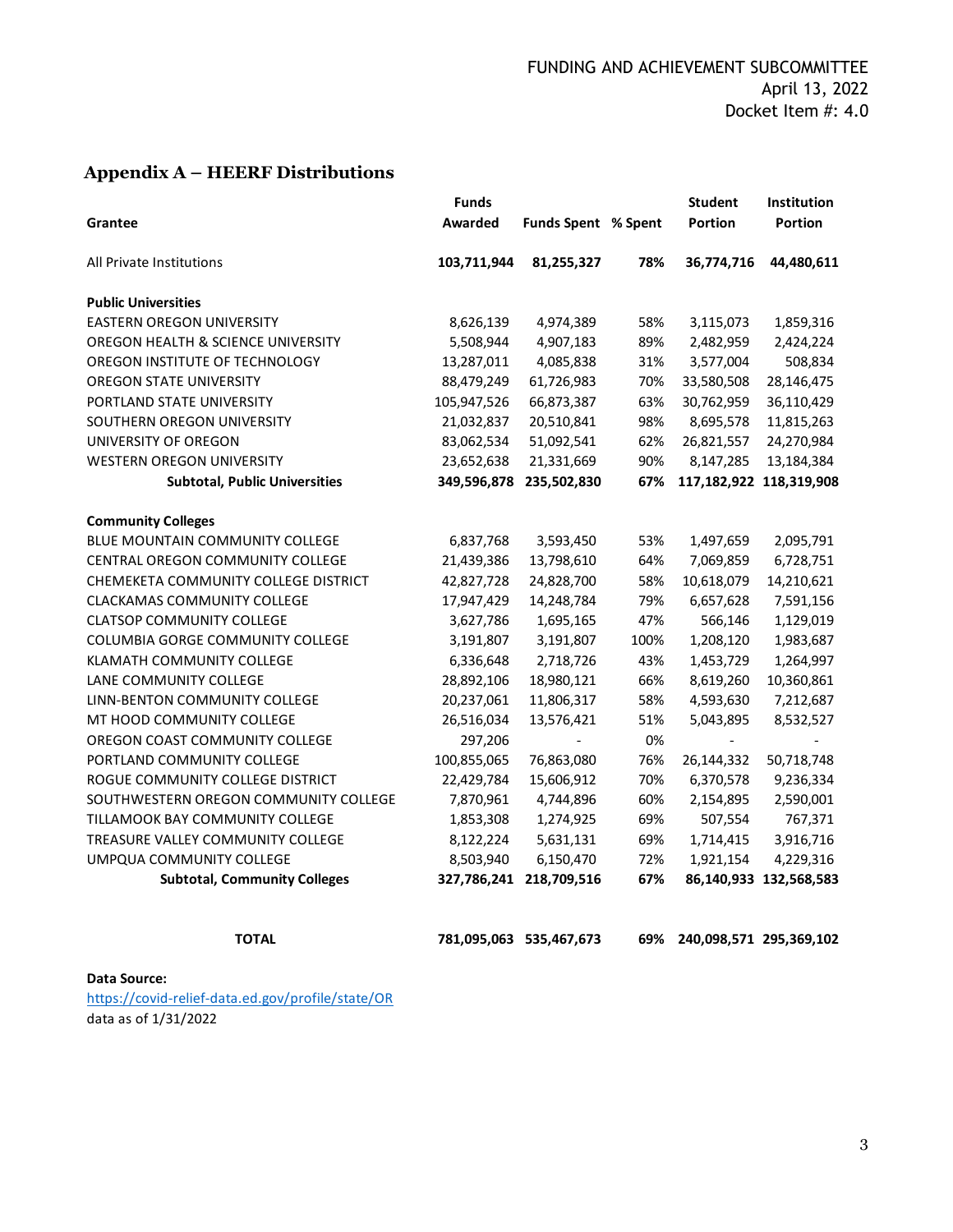# **Appendix A – HEERF Distributions**

| Grantee                               | <b>Funds</b><br>Awarded | <b>Funds Spent % Spent</b> |      | <b>Student</b><br>Portion | <b>Institution</b><br>Portion |
|---------------------------------------|-------------------------|----------------------------|------|---------------------------|-------------------------------|
| All Private Institutions              | 103,711,944             | 81,255,327                 | 78%  | 36,774,716                | 44,480,611                    |
| <b>Public Universities</b>            |                         |                            |      |                           |                               |
| <b>EASTERN OREGON UNIVERSITY</b>      | 8,626,139               | 4,974,389                  | 58%  | 3,115,073                 | 1,859,316                     |
| OREGON HEALTH & SCIENCE UNIVERSITY    | 5,508,944               | 4,907,183                  | 89%  | 2,482,959                 | 2,424,224                     |
| OREGON INSTITUTE OF TECHNOLOGY        | 13,287,011              | 4,085,838                  | 31%  | 3,577,004                 | 508,834                       |
| OREGON STATE UNIVERSITY               | 88,479,249              | 61,726,983                 | 70%  | 33,580,508                | 28,146,475                    |
| PORTLAND STATE UNIVERSITY             | 105,947,526             | 66,873,387                 | 63%  | 30,762,959                | 36,110,429                    |
| SOUTHERN OREGON UNIVERSITY            | 21,032,837              | 20,510,841                 | 98%  | 8,695,578                 | 11,815,263                    |
| UNIVERSITY OF OREGON                  | 83,062,534              | 51,092,541                 | 62%  | 26,821,557                | 24,270,984                    |
| <b>WESTERN OREGON UNIVERSITY</b>      | 23,652,638              | 21,331,669                 | 90%  | 8,147,285                 | 13,184,384                    |
| <b>Subtotal, Public Universities</b>  | 349,596,878             | 235,502,830                | 67%  |                           | 117,182,922 118,319,908       |
| <b>Community Colleges</b>             |                         |                            |      |                           |                               |
| BLUE MOUNTAIN COMMUNITY COLLEGE       | 6,837,768               | 3,593,450                  | 53%  | 1,497,659                 | 2,095,791                     |
| CENTRAL OREGON COMMUNITY COLLEGE      | 21,439,386              | 13,798,610                 | 64%  | 7,069,859                 | 6,728,751                     |
| CHEMEKETA COMMUNITY COLLEGE DISTRICT  | 42,827,728              | 24,828,700                 | 58%  | 10,618,079                | 14,210,621                    |
| <b>CLACKAMAS COMMUNITY COLLEGE</b>    | 17,947,429              | 14,248,784                 | 79%  | 6,657,628                 | 7,591,156                     |
| <b>CLATSOP COMMUNITY COLLEGE</b>      | 3,627,786               | 1,695,165                  | 47%  | 566,146                   | 1,129,019                     |
| COLUMBIA GORGE COMMUNITY COLLEGE      | 3,191,807               | 3,191,807                  | 100% | 1,208,120                 | 1,983,687                     |
| KLAMATH COMMUNITY COLLEGE             | 6,336,648               | 2,718,726                  | 43%  | 1,453,729                 | 1,264,997                     |
| LANE COMMUNITY COLLEGE                | 28,892,106              | 18,980,121                 | 66%  | 8,619,260                 | 10,360,861                    |
| LINN-BENTON COMMUNITY COLLEGE         | 20,237,061              | 11,806,317                 | 58%  | 4,593,630                 | 7,212,687                     |
| MT HOOD COMMUNITY COLLEGE             | 26,516,034              | 13,576,421                 | 51%  | 5,043,895                 | 8,532,527                     |
| OREGON COAST COMMUNITY COLLEGE        | 297,206                 |                            | 0%   | $\overline{a}$            |                               |
| PORTLAND COMMUNITY COLLEGE            | 100,855,065             | 76,863,080                 | 76%  | 26,144,332                | 50,718,748                    |
| ROGUE COMMUNITY COLLEGE DISTRICT      | 22,429,784              | 15,606,912                 | 70%  | 6,370,578                 | 9,236,334                     |
| SOUTHWESTERN OREGON COMMUNITY COLLEGE | 7,870,961               | 4,744,896                  | 60%  | 2,154,895                 | 2,590,001                     |
| TILLAMOOK BAY COMMUNITY COLLEGE       | 1,853,308               | 1,274,925                  | 69%  | 507,554                   | 767,371                       |
| TREASURE VALLEY COMMUNITY COLLEGE     | 8,122,224               | 5,631,131                  | 69%  | 1,714,415                 | 3,916,716                     |
| UMPQUA COMMUNITY COLLEGE              | 8,503,940               | 6,150,470                  | 72%  | 1,921,154                 | 4,229,316                     |
| <b>Subtotal, Community Colleges</b>   | 327,786,241             | 218,709,516                | 67%  |                           | 86,140,933 132,568,583        |
| <b>TOTAL</b>                          |                         | 781,095,063 535,467,673    | 69%  |                           | 240,098,571 295,369,102       |
| Data Source:                          |                         |                            |      |                           |                               |

https://covid-relief-data.ed.gov/profile/state/OR data as of 1/31/2022